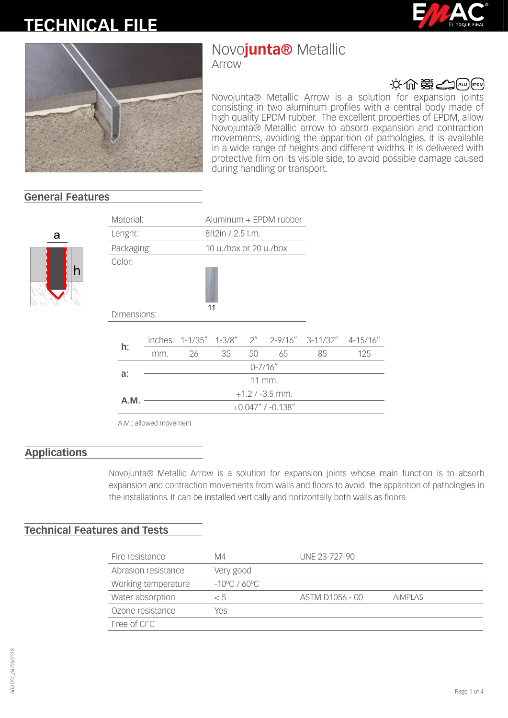# **TECHNICAL FILE**





## Novo**junta®** Metallic

Arrow



Novojunta® Metallic Arrow is a solution for expansion joints consisting in two aluminum profiles with a central body made of high quality EPDM rubber. The excellent properties of EPDM, allow Novojunta® Metallic arrow to absorb expansion and contraction movements, avoiding the apparition of pathologies. It is available in a wide range of heights and different widths. It is delivered with protective film on its visible side, to avoid possible damage caused during handling or transport.

### **General Features**



| Material:<br>Aluminum + EPDM rubber |             |                         |    |                        |    |    |                                                    |     |  |
|-------------------------------------|-------------|-------------------------|----|------------------------|----|----|----------------------------------------------------|-----|--|
| Lenght:                             |             |                         |    | 8ft2in / 2.5 l.m.      |    |    |                                                    |     |  |
| Packaging:                          |             |                         |    | 10 u./box or 20 u./box |    |    |                                                    |     |  |
|                                     | Color:      |                         |    | 11                     |    |    |                                                    |     |  |
|                                     | Dimensions: |                         |    |                        |    |    |                                                    |     |  |
|                                     |             |                         |    |                        |    |    | inches 1-1/35" 1-3/8" 2" 2-9/16" 3-11/32" 4-15/16" |     |  |
|                                     | h:          | mm.                     | 26 | 35                     | 50 | 65 | 85                                                 | 125 |  |
|                                     |             | $0 - 7/16''$            |    |                        |    |    |                                                    |     |  |
|                                     | a:          | 11 mm.                  |    |                        |    |    |                                                    |     |  |
|                                     |             | $+1.2 / -3.5$ mm.       |    |                        |    |    |                                                    |     |  |
|                                     | A.M.        | $+0.047''$ / $-0.138''$ |    |                        |    |    |                                                    |     |  |
|                                     |             |                         |    |                        |    |    |                                                    |     |  |

A.M.: allowed movement

#### **Applications**

Novojunta® Metallic Arrow is a solution for expansion joints whose main function is to absorb expansion and contraction movements from walls and floors to avoid the apparition of pathologies in the installations. It can be installed vertically and horizontally both walls as floors.

#### **Technical Features and Tests**

| Fire resistance     | M4                      | UNE 23-727-90   |                |
|---------------------|-------------------------|-----------------|----------------|
| Abrasion resistance | Very good               |                 |                |
| Working temperature | $-10^{\circ}$ C / 60 °C |                 |                |
| Water absorption    | < 5                     | ASTM D1056 - 00 | <b>AIMPLAS</b> |
| Ozone resistance    | Yes                     |                 |                |
| Free of CFC         |                         |                 |                |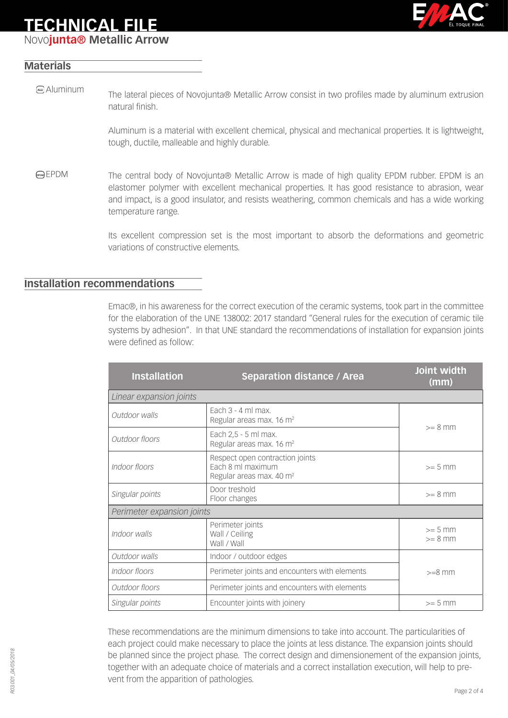## **TECHNICAL FILE**

Novo**junta® Metallic Arrow**



#### **Materials**

The lateral pieces of Novojunta® Metallic Arrow consist in two profiles made by aluminum extrusion natural finish. Aluminum

> Aluminum is a material with excellent chemical, physical and mechanical properties. It is lightweight, tough, ductile, malleable and highly durable.

EPDM The central body of Novojunta® Metallic Arrow is made of high quality EPDM rubber. EPDM is an elastomer polymer with excellent mechanical properties. It has good resistance to abrasion, wear and impact, is a good insulator, and resists weathering, common chemicals and has a wide working temperature range.

> Its excellent compression set is the most important to absorb the deformations and geometric variations of constructive elements.

#### **Installation recommendations**

Emac®, in his awareness for the correct execution of the ceramic systems, took part in the committee for the elaboration of the UNE 138002: 2017 standard "General rules for the execution of ceramic tile systems by adhesion". In that UNE standard the recommendations of installation for expansion joints were defined as follow:

| <b>Installation</b>                                                            | <b>Separation distance / Area</b>                                                            | Joint width<br>(mm)    |  |  |
|--------------------------------------------------------------------------------|----------------------------------------------------------------------------------------------|------------------------|--|--|
| Linear expansion joints                                                        |                                                                                              |                        |  |  |
| Outdoor walls                                                                  | Fach $3 - 4$ ml max.<br>Regular areas max. 16 m <sup>2</sup>                                 | $>= 8$ mm              |  |  |
| Each 2,5 - 5 ml max.<br>Outdoor floors<br>Regular areas max. 16 m <sup>2</sup> |                                                                                              |                        |  |  |
| Indoor floors                                                                  | Respect open contraction joints<br>Each 8 ml maximum<br>Regular areas max. 40 m <sup>2</sup> | $>= 5$ mm              |  |  |
| Singular points                                                                | Door treshold<br>Floor changes                                                               | $>= 8$ mm              |  |  |
| Perimeter expansion joints                                                     |                                                                                              |                        |  |  |
| Perimeter joints<br>Indoor walls<br>Wall / Ceiling<br>Wall / Wall              |                                                                                              | $>= 5$ mm<br>$>= 8$ mm |  |  |
| Outdoor walls                                                                  | Indoor / outdoor edges                                                                       |                        |  |  |
| Indoor floors                                                                  | Perimeter joints and encounters with elements                                                | $>=8$ mm               |  |  |
| Outdoor floors                                                                 | Perimeter joints and encounters with elements                                                |                        |  |  |
| Singular points                                                                | Encounter joints with joinery                                                                | $>= 5$ mm              |  |  |

These recommendations are the minimum dimensions to take into account. The particularities of each project could make necessary to place the joints at less distance. The expansion joints should be planned since the project phase. The correct design and dimensionement of the expansion joints, together with an adequate choice of materials and a correct installation execution, will help to prevent from the apparition of pathologies.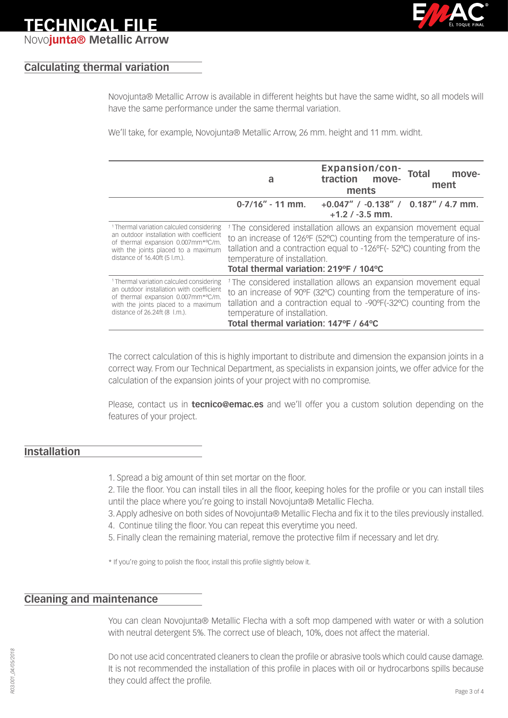

### **TECHNICAL FILE** Novo**junta® Metallic Arrow**

#### **Calculating thermal variation**

Novojunta® Metallic Arrow is available in different heights but have the same widht, so all models will have the same performance under the same thermal variation.

We'll take, for example, Novojunta® Metallic Arrow, 26 mm. height and 11 mm. widht.

|                                                                                                                                                                                                               | a                                                                                                                                                                                                                                                                                                      | <b>Expansion/con-</b><br>traction move-<br>ments                  | Total<br>move-<br>ment |  |
|---------------------------------------------------------------------------------------------------------------------------------------------------------------------------------------------------------------|--------------------------------------------------------------------------------------------------------------------------------------------------------------------------------------------------------------------------------------------------------------------------------------------------------|-------------------------------------------------------------------|------------------------|--|
|                                                                                                                                                                                                               | $0-7/16'' - 11$ mm.                                                                                                                                                                                                                                                                                    | $+0.047''$ / $-0.138''$ / 0.187" / 4.7 mm.<br>$+1.2$ / $-3.5$ mm. |                        |  |
| <sup>1</sup> Thermal variation calculed considering<br>an outdoor installation with coefficient<br>of thermal expansion 0.007mm*°C/m.<br>with the joints placed to a maximum<br>distance of 16.40ft (5 l.m.). | <sup>1</sup> The considered installation allows an expansion movement equal<br>to an increase of 126°F (52°C) counting from the temperature of ins-<br>tallation and a contraction equal to -126°F(- 52°C) counting from the<br>temperature of installation.<br>Total thermal variation: 219°F / 104°C |                                                                   |                        |  |
| <sup>1</sup> Thermal variation calculed considering<br>an outdoor installation with coefficient<br>of thermal expansion 0.007mm*°C/m.<br>with the joints placed to a maximum<br>distance of 26.24ft (8 l.m.). | <sup>1</sup> The considered installation allows an expansion movement equal<br>to an increase of 90°F (32°C) counting from the temperature of ins-<br>tallation and a contraction equal to -90°F(-32°C) counting from the<br>temperature of installation.<br>Total thermal variation: 147°F / 64°C     |                                                                   |                        |  |

The correct calculation of this is highly important to distribute and dimension the expansion joints in a correct way. From our Technical Department, as specialists in expansion joints, we offer advice for the calculation of the expansion joints of your project with no compromise.

Please, contact us in **tecnico@emac.es** and we'll offer you a custom solution depending on the features of your project.

#### **Installation**

- 1. Spread a big amount of thin set mortar on the floor.
- 2. Tile the floor. You can install tiles in all the floor, keeping holes for the profile or you can install tiles until the place where you're going to install Novojunta® Metallic Flecha.
- 3. Apply adhesive on both sides of Novojunta® Metallic Flecha and fix it to the tiles previously installed.
- 4. Continue tiling the floor. You can repeat this everytime you need.
- 5. Finally clean the remaining material, remove the protective film if necessary and let dry.

\* If you're going to polish the floor, install this profile slightly below it.

#### **Cleaning and maintenance**

You can clean Novojunta® Metallic Flecha with a soft mop dampened with water or with a solution with neutral detergent 5%. The correct use of bleach, 10%, does not affect the material.

Do not use acid concentrated cleaners to clean the profile or abrasive tools which could cause damage. It is not recommended the installation of this profile in places with oil or hydrocarbons spills because they could affect the profile.